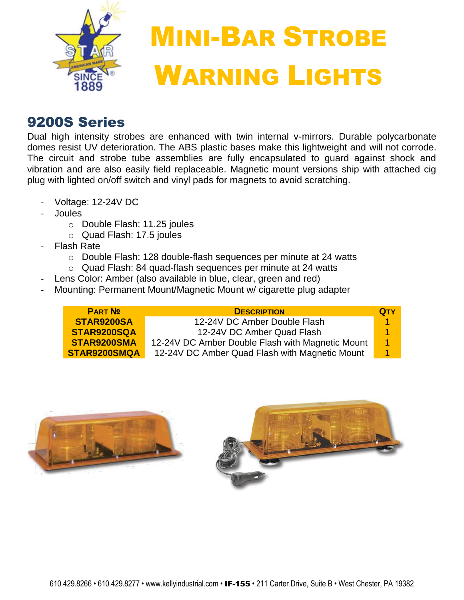

## MINI-BAR STROBE WARNING LIGHTS

## 9200S Series

Dual high intensity strobes are enhanced with twin internal v-mirrors. Durable polycarbonate domes resist UV deterioration. The ABS plastic bases make this lightweight and will not corrode. The circuit and strobe tube assemblies are fully encapsulated to guard against shock and vibration and are also easily field replaceable. Magnetic mount versions ship with attached cig plug with lighted on/off switch and vinyl pads for magnets to avoid scratching.

- Voltage: 12-24V DC
- **Joules** 
	- o Double Flash: 11.25 joules
	- o Quad Flash: 17.5 joules
- **Flash Rate** 
	- o Double Flash: 128 double-flash sequences per minute at 24 watts
	- o Quad Flash: 84 quad-flash sequences per minute at 24 watts
- Lens Color: Amber (also available in blue, clear, green and red)
- Mounting: Permanent Mount/Magnetic Mount w/ cigarette plug adapter

| STAR9200SA<br>12-24V DC Amber Double Flash                            | <b>QTY</b> |
|-----------------------------------------------------------------------|------------|
|                                                                       |            |
| STAR9200SQA<br>12-24V DC Amber Quad Flash                             |            |
| STAR9200SMA<br>12-24V DC Amber Double Flash with Magnetic Mount<br>-1 |            |
| STAR9200SMQA<br>12-24V DC Amber Quad Flash with Magnetic Mount        |            |